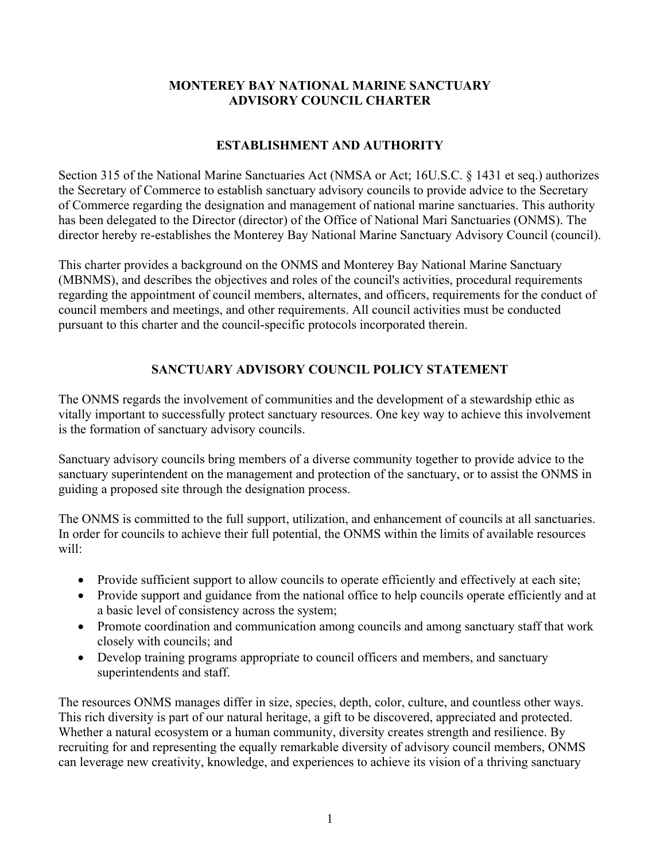## **MONTEREY BAY NATIONAL MARINE SANCTUARY ADVISORY COUNCIL CHARTER**

# **ESTABLISHMENT AND AUTHORITY**

 Section 315 of the National Marine Sanctuaries Act (NMSA or Act; 16U.S.C. § 1431 et seq.) authorizes has been delegated to the Director (director) of the Office of National Mari Sanctuaries (ONMS). The the Secretary of Commerce to establish sanctuary advisory councils to provide advice to the Secretary of Commerce regarding the designation and management of national marine sanctuaries. This authority director hereby re-establishes the Monterey Bay National Marine Sanctuary Advisory Council (council).

 This charter provides a background on the ONMS and Monterey Bay National Marine Sanctuary (MBNMS), and describes the objectives and roles of the council's activities, procedural requirements regarding the appointment of council members, alternates, and officers, requirements for the conduct of council members and meetings, and other requirements. All council activities must be conducted pursuant to this charter and the council-specific protocols incorporated therein.

# **SANCTUARY ADVISORY COUNCIL POLICY STATEMENT**

 The ONMS regards the involvement of communities and the development of a stewardship ethic as vitally important to successfully protect sanctuary resources. One key way to achieve this involvement is the formation of sanctuary advisory councils.

Sanctuary advisory councils bring members of a diverse community together to provide advice to the sanctuary superintendent on the management and protection of the sanctuary, or to assist the ONMS in guiding a proposed site through the designation process.

The ONMS is committed to the full support, utilization, and enhancement of councils at all sanctuaries. In order for councils to achieve their full potential, the ONMS within the limits of available resources will:

- Provide sufficient support to allow councils to operate efficiently and effectively at each site;
- Provide support and guidance from the national office to help councils operate efficiently and at a basic level of consistency across the system;
- Promote coordination and communication among councils and among sanctuary staff that work closely with councils; and
- Develop training programs appropriate to council officers and members, and sanctuary superintendents and staff.

The resources ONMS manages differ in size, species, depth, color, culture, and countless other ways. This rich diversity is part of our natural heritage, a gift to be discovered, appreciated and protected. Whether a natural ecosystem or a human community, diversity creates strength and resilience. By recruiting for and representing the equally remarkable diversity of advisory council members, ONMS can leverage new creativity, knowledge, and experiences to achieve its vision of a thriving sanctuary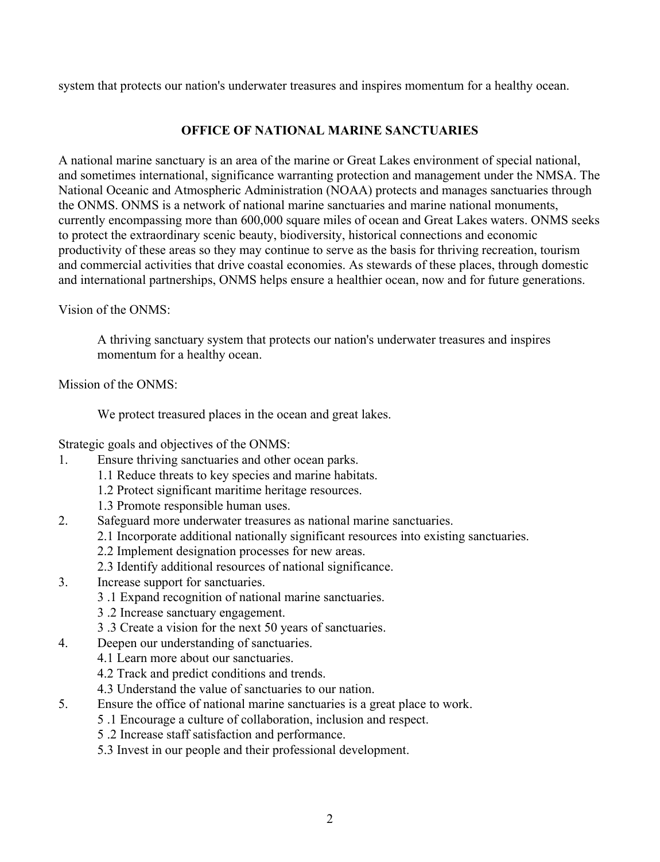system that protects our nation's underwater treasures and inspires momentum for a healthy ocean.

## **OFFICE OF NATIONAL MARINE SANCTUARIES**

 productivity of these areas so they may continue to serve as the basis for thriving recreation, tourism A national marine sanctuary is an area of the marine or Great Lakes environment of special national, and sometimes international, significance warranting protection and management under the NMSA. The National Oceanic and Atmospheric Administration (NOAA) protects and manages sanctuaries through the ONMS. ONMS is a network of national marine sanctuaries and marine national monuments, currently encompassing more than 600,000 square miles of ocean and Great Lakes waters. ONMS seeks to protect the extraordinary scenic beauty, biodiversity, historical connections and economic and commercial activities that drive coastal economies. As stewards of these places, through domestic and international partnerships, ONMS helps ensure a healthier ocean, now and for future generations.

Vision of the ONMS:

A thriving sanctuary system that protects our nation's underwater treasures and inspires momentum for a healthy ocean.

Mission of the ONMS:

We protect treasured places in the ocean and great lakes.

Strategic goals and objectives of the ONMS:

- 1. Ensure thriving sanctuaries and other ocean parks.
	- 1.1 Reduce threats to key species and marine habitats.
	- 1.2 Protect significant maritime heritage resources.
	- 1.3 Promote responsible human uses.
- 2. Safeguard more underwater treasures as national marine sanctuaries.
	- 2.1 Incorporate additional nationally significant resources into existing sanctuaries.
	- 2.2 Implement designation processes for new areas.
	- 2.3 Identify additional resources of national significance.
- 3. Increase support for sanctuaries.
	- 3 .1 Expand recognition of national marine sanctuaries.
	- 3 .2 Increase sanctuary engagement.
	- 3 .3 Create a vision for the next 50 years of sanctuaries.
- 4. Deepen our understanding of sanctuaries.
	- 4.1 Learn more about our sanctuaries.
		- 4.2 Track and predict conditions and trends.
		- 4.3 Understand the value of sanctuaries to our nation.
- 5. Ensure the office of national marine sanctuaries is a great place to work.
	- 5 .1 Encourage a culture of collaboration, inclusion and respect.
	- 5 .2 Increase staff satisfaction and performance.
	- 5.3 Invest in our people and their professional development.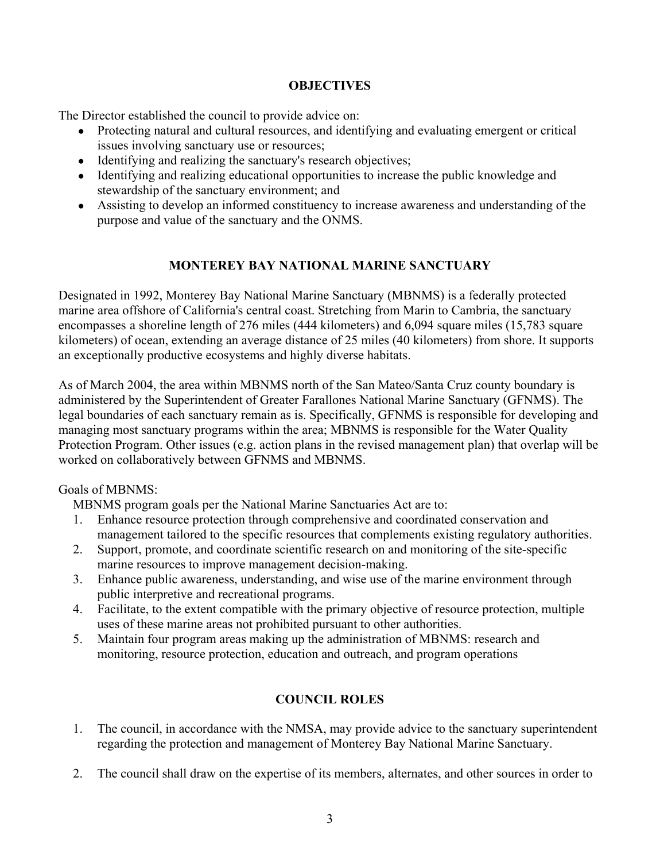### **OBJECTIVES**

The Director established the council to provide advice on:

- issues involving sanctuary use or resources; • Protecting natural and cultural resources, and identifying and evaluating emergent or critical
- Identifying and realizing the sanctuary's research objectives;
- Identifying and realizing educational opportunities to increase the public knowledge and stewardship of the sanctuary environment; and
- ● Assisting to develop an informed constituency to increase awareness and understanding of the purpose and value of the sanctuary and the ONMS.

## **MONTEREY BAY NATIONAL MARINE SANCTUARY**

Designated in 1992, Monterey Bay National Marine Sanctuary (MBNMS) is a federally protected marine area offshore of California's central coast. Stretching from Marin to Cambria, the sanctuary encompasses a shoreline length of 276 miles (444 kilometers) and 6,094 square miles (15,783 square kilometers) of ocean, extending an average distance of 25 miles (40 kilometers) from shore. It supports an exceptionally productive ecosystems and highly diverse habitats.

 Protection Program. Other issues (e.g. action plans in the revised management plan) that overlap will be As of March 2004, the area within MBNMS north of the San Mateo/Santa Cruz county boundary is administered by the Superintendent of Greater Farallones National Marine Sanctuary (GFNMS). The legal boundaries of each sanctuary remain as is. Specifically, GFNMS is responsible for developing and managing most sanctuary programs within the area; MBNMS is responsible for the Water Quality worked on collaboratively between GFNMS and MBNMS.

Goals of MBNMS:

MBNMS program goals per the National Marine Sanctuaries Act are to:

- management tailored to the specific resources that complements existing regulatory authorities. 1. Enhance resource protection through comprehensive and coordinated conservation and
- 2. Support, promote, and coordinate scientific research on and monitoring of the site-specific marine resources to improve management decision-making.
- 3. Enhance public awareness, understanding, and wise use of the marine environment through public interpretive and recreational programs.
- 4. Facilitate, to the extent compatible with the primary objective of resource protection, multiple uses of these marine areas not prohibited pursuant to other authorities.
- 5. Maintain four program areas making up the administration of MBNMS: research and monitoring, resource protection, education and outreach, and program operations

## **COUNCIL ROLES**

- 1. The council, in accordance with the NMSA, may provide advice to the sanctuary superintendent regarding the protection and management of Monterey Bay National Marine Sanctuary.
- 2. The council shall draw on the expertise of its members, alternates, and other sources in order to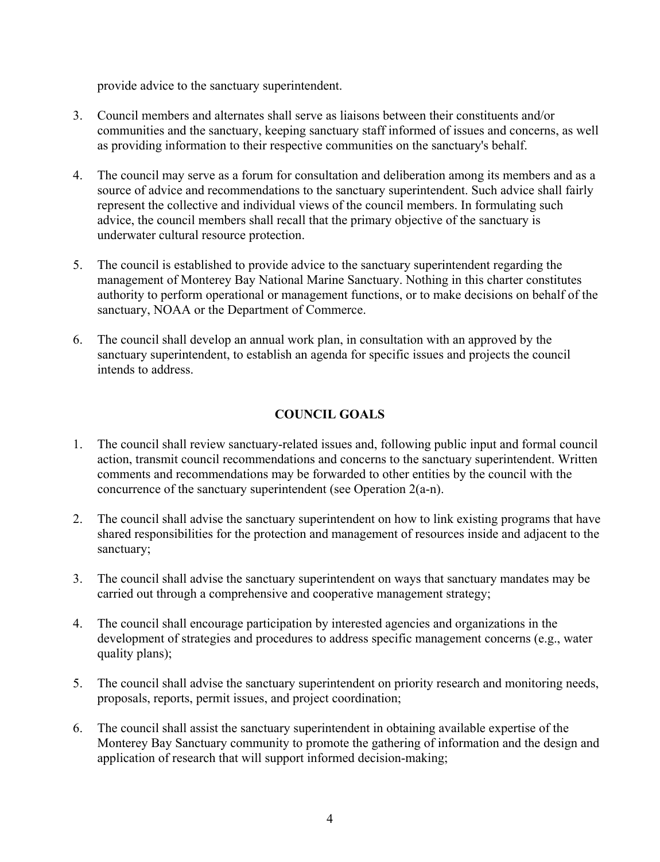provide advice to the sanctuary superintendent.

- 3. Council members and alternates shall serve as liaisons between their constituents and/or communities and the sanctuary, keeping sanctuary staff informed of issues and concerns, as well as providing information to their respective communities on the sanctuary's behalf.
- 4. The council may serve as a forum for consultation and deliberation among its members and as a source of advice and recommendations to the sanctuary superintendent. Such advice shall fairly represent the collective and individual views of the council members. In formulating such advice, the council members shall recall that the primary objective of the sanctuary is underwater cultural resource protection.
- 5. The council is established to provide advice to the sanctuary superintendent regarding the management of Monterey Bay National Marine Sanctuary. Nothing in this charter constitutes authority to perform operational or management functions, or to make decisions on behalf of the sanctuary, NOAA or the Department of Commerce.
- 6. The council shall develop an annual work plan, in consultation with an approved by the sanctuary superintendent, to establish an agenda for specific issues and projects the council intends to address.

## **COUNCIL GOALS**

- 1. The council shall review sanctuary-related issues and, following public input and formal council action, transmit council recommendations and concerns to the sanctuary superintendent. Written comments and recommendations may be forwarded to other entities by the council with the concurrence of the sanctuary superintendent (see Operation 2(a-n).
- 2. The council shall advise the sanctuary superintendent on how to link existing programs that have shared responsibilities for the protection and management of resources inside and adjacent to the sanctuary;
- 3. The council shall advise the sanctuary superintendent on ways that sanctuary mandates may be carried out through a comprehensive and cooperative management strategy;
- 4. The council shall encourage participation by interested agencies and organizations in the development of strategies and procedures to address specific management concerns (e.g., water quality plans);
- 5. The council shall advise the sanctuary superintendent on priority research and monitoring needs, proposals, reports, permit issues, and project coordination;
- 6. The council shall assist the sanctuary superintendent in obtaining available expertise of the Monterey Bay Sanctuary community to promote the gathering of information and the design and application of research that will support informed decision-making;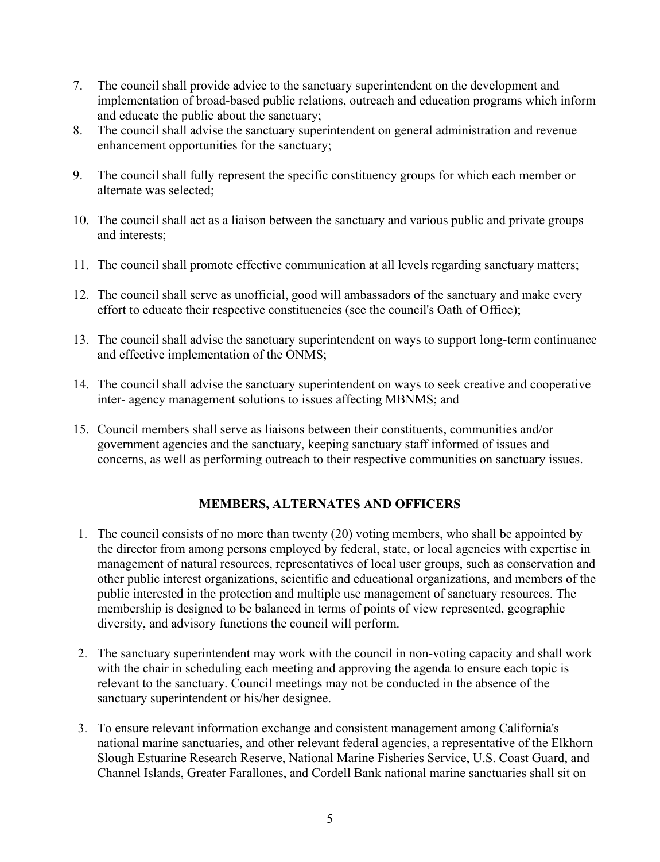- 7. The council shall provide advice to the sanctuary superintendent on the development and implementation of broad-based public relations, outreach and education programs which inform and educate the public about the sanctuary;
- 8. The council shall advise the sanctuary superintendent on general administration and revenue enhancement opportunities for the sanctuary;
- 9. The council shall fully represent the specific constituency groups for which each member or alternate was selected;
- 10. The council shall act as a liaison between the sanctuary and various public and private groups and interests;
- 11. The council shall promote effective communication at all levels regarding sanctuary matters;
- 12. The council shall serve as unofficial, good will ambassadors of the sanctuary and make every effort to educate their respective constituencies (see the council's Oath of Office);
- 13. The council shall advise the sanctuary superintendent on ways to support long-term continuance and effective implementation of the ONMS;
- 14. The council shall advise the sanctuary superintendent on ways to seek creative and cooperative inter- agency management solutions to issues affecting MBNMS; and
- 15. Council members shall serve as liaisons between their constituents, communities and/or government agencies and the sanctuary, keeping sanctuary staff informed of issues and concerns, as well as performing outreach to their respective communities on sanctuary issues.

## **MEMBERS, ALTERNATES AND OFFICERS**

- diversity, and advisory functions the council will perform. 1. The council consists of no more than twenty (20) voting members, who shall be appointed by the director from among persons employed by federal, state, or local agencies with expertise in management of natural resources, representatives of local user groups, such as conservation and other public interest organizations, scientific and educational organizations, and members of the public interested in the protection and multiple use management of sanctuary resources. The membership is designed to be balanced in terms of points of view represented, geographic
- 2. The sanctuary superintendent may work with the council in non-voting capacity and shall work with the chair in scheduling each meeting and approving the agenda to ensure each topic is relevant to the sanctuary. Council meetings may not be conducted in the absence of the sanctuary superintendent or his/her designee.
- Slough Estuarine Research Reserve, National Marine Fisheries Service, U.S. Coast Guard, and Channel Islands, Greater Farallones, and Cordell Bank national marine sanctuaries shall sit on 3. To ensure relevant information exchange and consistent management among California's national marine sanctuaries, and other relevant federal agencies, a representative of the Elkhorn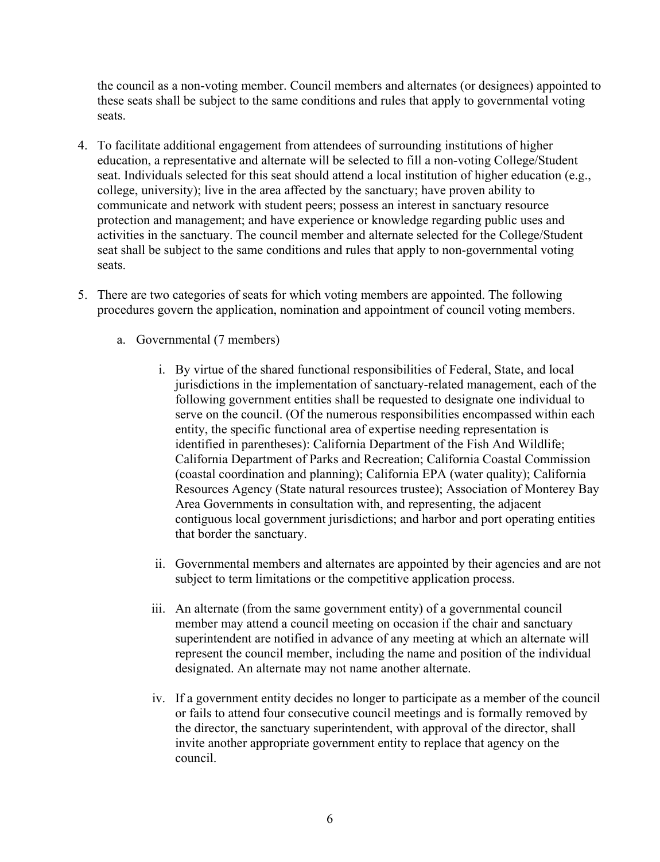the council as a non-voting member. Council members and alternates (or designees) appointed to these seats shall be subject to the same conditions and rules that apply to governmental voting seats.

- communicate and network with student peers; possess an interest in sanctuary resource 4. To facilitate additional engagement from attendees of surrounding institutions of higher education, a representative and alternate will be selected to fill a non-voting College/Student seat. Individuals selected for this seat should attend a local institution of higher education (e.g., college, university); live in the area affected by the sanctuary; have proven ability to protection and management; and have experience or knowledge regarding public uses and activities in the sanctuary. The council member and alternate selected for the College/Student seat shall be subject to the same conditions and rules that apply to non-governmental voting seats.
- procedures govern the application, nomination and appointment of council voting members. 5. There are two categories of seats for which voting members are appointed. The following
	- a. Governmental (7 members)
		- i. By virtue of the shared functional responsibilities of Federal, State, and local jurisdictions in the implementation of sanctuary-related management, each of the following government entities shall be requested to designate one individual to serve on the council. (Of the numerous responsibilities encompassed within each entity, the specific functional area of expertise needing representation is identified in parentheses): California Department of the Fish And Wildlife; California Department of Parks and Recreation; California Coastal Commission (coastal coordination and planning); California EPA (water quality); California Resources Agency (State natural resources trustee); Association of Monterey Bay Area Governments in consultation with, and representing, the adjacent contiguous local government jurisdictions; and harbor and port operating entities that border the sanctuary.
		- ii. Governmental members and alternates are appointed by their agencies and are not subject to term limitations or the competitive application process.
		- iii. An alternate (from the same government entity) of a governmental council member may attend a council meeting on occasion if the chair and sanctuary superintendent are notified in advance of any meeting at which an alternate will represent the council member, including the name and position of the individual designated. An alternate may not name another alternate.
		- iv. If a government entity decides no longer to participate as a member of the council invite another appropriate government entity to replace that agency on the or fails to attend four consecutive council meetings and is formally removed by the director, the sanctuary superintendent, with approval of the director, shall council.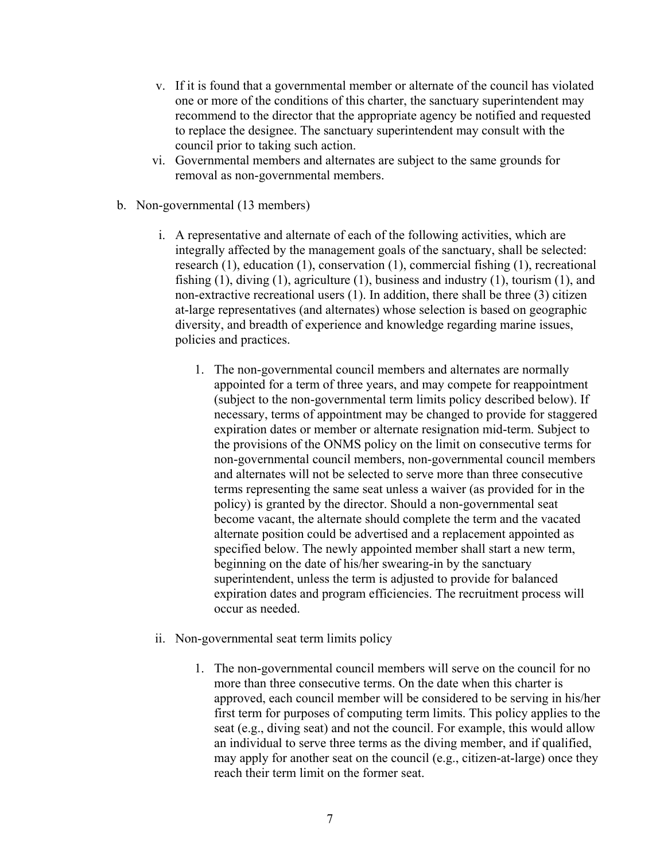- one or more of the conditions of this charter, the sanctuary superintendent may v. If it is found that a governmental member or alternate of the council has violated recommend to the director that the appropriate agency be notified and requested to replace the designee. The sanctuary superintendent may consult with the council prior to taking such action.
- vi. Governmental members and alternates are subject to the same grounds for removal as non-governmental members.
- b. Non-governmental (13 members)
	- non-extractive recreational users (1). In addition, there shall be three (3) citizen i. A representative and alternate of each of the following activities, which are integrally affected by the management goals of the sanctuary, shall be selected: research (1), education (1), conservation (1), commercial fishing (1), recreational fishing (1), diving (1), agriculture (1), business and industry (1), tourism (1), and at-large representatives (and alternates) whose selection is based on geographic diversity, and breadth of experience and knowledge regarding marine issues, policies and practices.
		- necessary, terms of appointment may be changed to provide for staggered expiration dates or member or alternate resignation mid-term. Subject to terms representing the same seat unless a waiver (as provided for in the expiration dates and program efficiencies. The recruitment process will 1. The non-governmental council members and alternates are normally appointed for a term of three years, and may compete for reappointment (subject to the non-governmental term limits policy described below). If the provisions of the ONMS policy on the limit on consecutive terms for non-governmental council members, non-governmental council members and alternates will not be selected to serve more than three consecutive policy) is granted by the director. Should a non-governmental seat become vacant, the alternate should complete the term and the vacated alternate position could be advertised and a replacement appointed as specified below. The newly appointed member shall start a new term, beginning on the date of his/her swearing-in by the sanctuary superintendent, unless the term is adjusted to provide for balanced occur as needed.
	- ii. Non-governmental seat term limits policy
		- 1. The non-governmental council members will serve on the council for no more than three consecutive terms. On the date when this charter is approved, each council member will be considered to be serving in his/her first term for purposes of computing term limits. This policy applies to the seat (e.g., diving seat) and not the council. For example, this would allow an individual to serve three terms as the diving member, and if qualified, may apply for another seat on the council (e.g., citizen-at-large) once they reach their term limit on the former seat.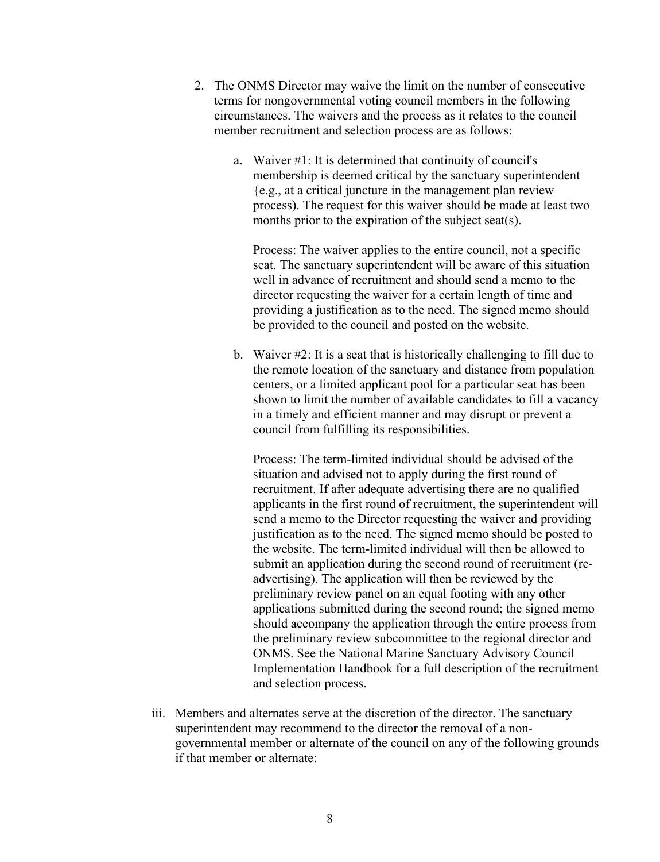- 2. The ONMS Director may waive the limit on the number of consecutive circumstances. The waivers and the process as it relates to the council terms for nongovernmental voting council members in the following member recruitment and selection process are as follows:
	- process). The request for this waiver should be made at least two a. Waiver #1: It is determined that continuity of council's membership is deemed critical by the sanctuary superintendent {e.g., at a critical juncture in the management plan review months prior to the expiration of the subject seat(s).

 well in advance of recruitment and should send a memo to the director requesting the waiver for a certain length of time and Process: The waiver applies to the entire council, not a specific seat. The sanctuary superintendent will be aware of this situation providing a justification as to the need. The signed memo should be provided to the council and posted on the website.

b. Waiver #2: It is a seat that is historically challenging to fill due to the remote location of the sanctuary and distance from population centers, or a limited applicant pool for a particular seat has been shown to limit the number of available candidates to fill a vacancy in a timely and efficient manner and may disrupt or prevent a council from fulfilling its responsibilities.

 should accompany the application through the entire process from Implementation Handbook for a full description of the recruitment Process: The term-limited individual should be advised of the situation and advised not to apply during the first round of recruitment. If after adequate advertising there are no qualified applicants in the first round of recruitment, the superintendent will send a memo to the Director requesting the waiver and providing justification as to the need. The signed memo should be posted to the website. The term-limited individual will then be allowed to submit an application during the second round of recruitment (readvertising). The application will then be reviewed by the preliminary review panel on an equal footing with any other applications submitted during the second round; the signed memo the preliminary review subcommittee to the regional director and ONMS. See the National Marine Sanctuary Advisory Council and selection process.

iii. Members and alternates serve at the discretion of the director. The sanctuary superintendent may recommend to the director the removal of a nongovernmental member or alternate of the council on any of the following grounds if that member or alternate: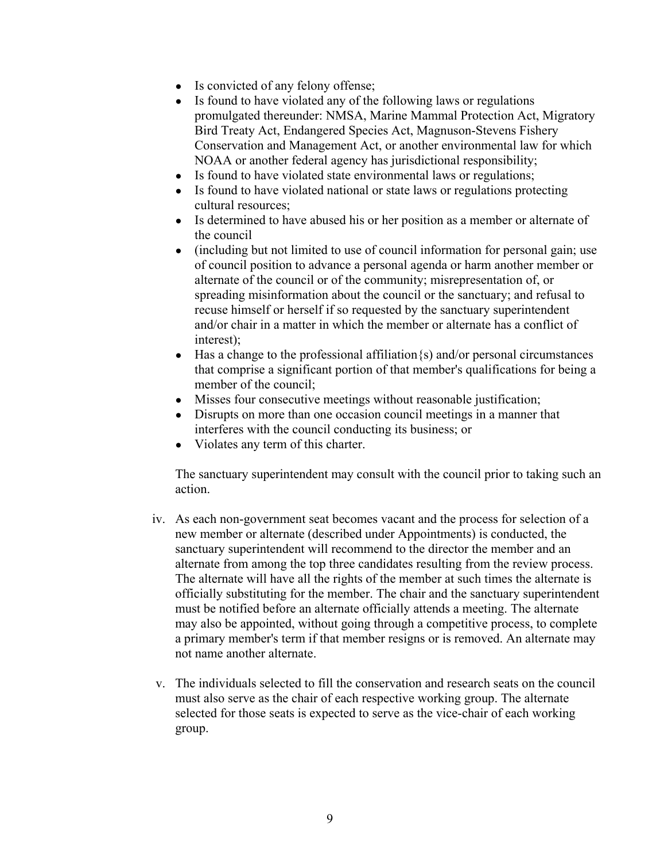- Is convicted of any felony offense;
- Is found to have violated any of the following laws or regulations promulgated thereunder: NMSA, Marine Mammal Protection Act, Migratory Bird Treaty Act, Endangered Species Act, Magnuson-Stevens Fishery Conservation and Management Act, or another environmental law for which NOAA or another federal agency has jurisdictional responsibility;
- Is found to have violated state environmental laws or regulations;
- Is found to have violated national or state laws or regulations protecting cultural resources;
- Is determined to have abused his or her position as a member or alternate of the council
- of council position to advance a personal agenda or harm another member or spreading misinformation about the council or the sanctuary; and refusal to • (including but not limited to use of council information for personal gain; use alternate of the council or of the community; misrepresentation of, or recuse himself or herself if so requested by the sanctuary superintendent and/or chair in a matter in which the member or alternate has a conflict of interest);
- Has a change to the professional affiliation $\{s\}$  and/or personal circumstances that comprise a significant portion of that member's qualifications for being a member of the council;
- Misses four consecutive meetings without reasonable justification;
- Disrupts on more than one occasion council meetings in a manner that interferes with the council conducting its business; or
- Violates any term of this charter.

The sanctuary superintendent may consult with the council prior to taking such an action.

- sanctuary superintendent will recommend to the director the member and an alternate from among the top three candidates resulting from the review process. may also be appointed, without going through a competitive process, to complete iv. As each non-government seat becomes vacant and the process for selection of a new member or alternate (described under Appointments) is conducted, the The alternate will have all the rights of the member at such times the alternate is officially substituting for the member. The chair and the sanctuary superintendent must be notified before an alternate officially attends a meeting. The alternate a primary member's term if that member resigns or is removed. An alternate may not name another alternate.
- v. The individuals selected to fill the conservation and research seats on the council must also serve as the chair of each respective working group. The alternate selected for those seats is expected to serve as the vice-chair of each working group.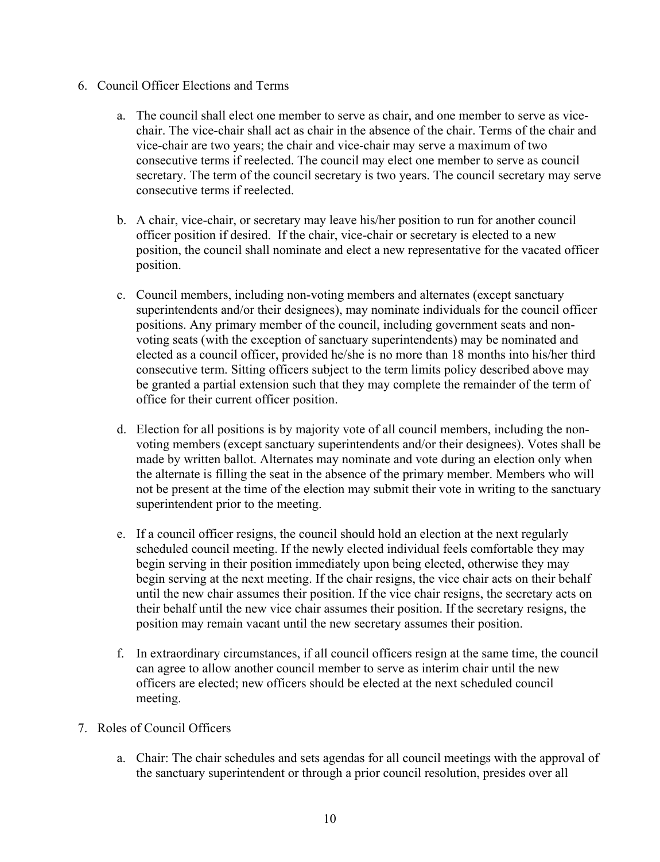- 6. Council Officer Elections and Terms
	- a. The council shall elect one member to serve as chair, and one member to serve as vicechair. The vice-chair shall act as chair in the absence of the chair. Terms of the chair and vice-chair are two years; the chair and vice-chair may serve a maximum of two consecutive terms if reelected. The council may elect one member to serve as council secretary. The term of the council secretary is two years. The council secretary may serve consecutive terms if reelected.
	- officer position if desired. If the chair, vice-chair or secretary is elected to a new position, the council shall nominate and elect a new representative for the vacated officer b. A chair, vice-chair, or secretary may leave his/her position to run for another council position.
	- c. Council members, including non-voting members and alternates (except sanctuary superintendents and/or their designees), may nominate individuals for the council officer positions. Any primary member of the council, including government seats and nonvoting seats (with the exception of sanctuary superintendents) may be nominated and elected as a council officer, provided he/she is no more than 18 months into his/her third consecutive term. Sitting officers subject to the term limits policy described above may be granted a partial extension such that they may complete the remainder of the term of office for their current officer position.
	- d. Election for all positions is by majority vote of all council members, including the nonvoting members (except sanctuary superintendents and/or their designees). Votes shall be made by written ballot. Alternates may nominate and vote during an election only when the alternate is filling the seat in the absence of the primary member. Members who will not be present at the time of the election may submit their vote in writing to the sanctuary superintendent prior to the meeting.
	- their behalf until the new vice chair assumes their position. If the secretary resigns, the e. If a council officer resigns, the council should hold an election at the next regularly scheduled council meeting. If the newly elected individual feels comfortable they may begin serving in their position immediately upon being elected, otherwise they may begin serving at the next meeting. If the chair resigns, the vice chair acts on their behalf until the new chair assumes their position. If the vice chair resigns, the secretary acts on position may remain vacant until the new secretary assumes their position.
	- officers are elected; new officers should be elected at the next scheduled council f. In extraordinary circumstances, if all council officers resign at the same time, the council can agree to allow another council member to serve as interim chair until the new meeting.
- 7. Roles of Council Officers
	- the sanctuary superintendent or through a prior council resolution, presides over all a. Chair: The chair schedules and sets agendas for all council meetings with the approval of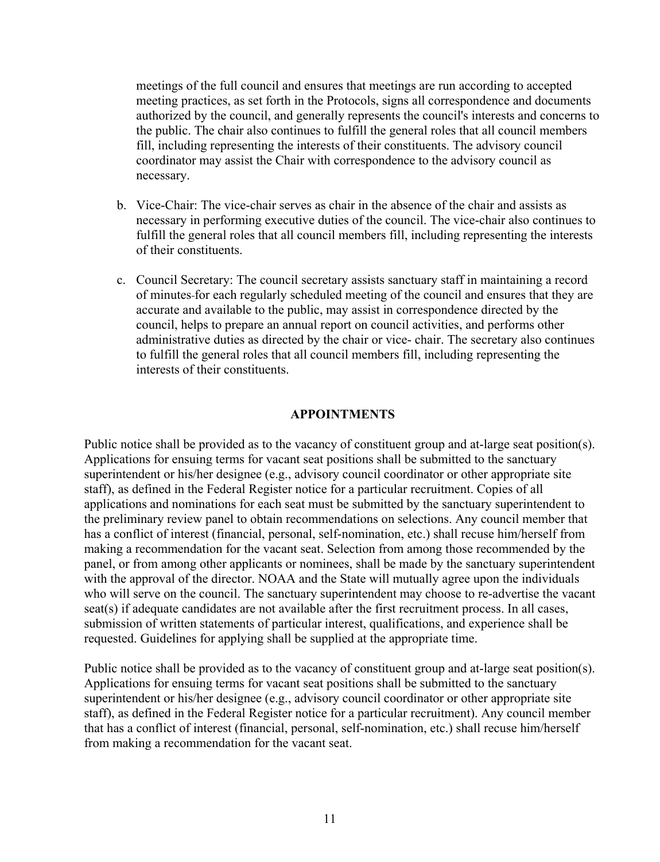meetings of the full council and ensures that meetings are run according to accepted meeting practices, as set forth in the Protocols, signs all correspondence and documents authorized by the council, and generally represents the council's interests and concerns to the public. The chair also continues to fulfill the general roles that all council members fill, including representing the interests of their constituents. The advisory council coordinator may assist the Chair with correspondence to the advisory council as necessary.

- necessary in performing executive duties of the council. The vice-chair also continues to b. Vice-Chair: The vice-chair serves as chair in the absence of the chair and assists as fulfill the general roles that all council members fill, including representing the interests of their constituents.
- - of minutes for each regularly scheduled meeting of the council and ensures that they are c. Council Secretary: The council secretary assists sanctuary staff in maintaining a record accurate and available to the public, may assist in correspondence directed by the council, helps to prepare an annual report on council activities, and performs other administrative duties as directed by the chair or vice- chair. The secretary also continues to fulfill the general roles that all council members fill, including representing the interests of their constituents.

#### **APPOINTMENTS**

 superintendent or his/her designee (e.g., advisory council coordinator or other appropriate site the preliminary review panel to obtain recommendations on selections. Any council member that who will serve on the council. The sanctuary superintendent may choose to re-advertise the vacant seat(s) if adequate candidates are not available after the first recruitment process. In all cases, Public notice shall be provided as to the vacancy of constituent group and at-large seat position(s). Applications for ensuing terms for vacant seat positions shall be submitted to the sanctuary staff), as defined in the Federal Register notice for a particular recruitment. Copies of all applications and nominations for each seat must be submitted by the sanctuary superintendent to has a conflict of interest (financial, personal, self-nomination, etc.) shall recuse him/herself from making a recommendation for the vacant seat. Selection from among those recommended by the panel, or from among other applicants or nominees, shall be made by the sanctuary superintendent with the approval of the director. NOAA and the State will mutually agree upon the individuals submission of written statements of particular interest, qualifications, and experience shall be requested. Guidelines for applying shall be supplied at the appropriate time.

 superintendent or his/her designee (e.g., advisory council coordinator or other appropriate site Public notice shall be provided as to the vacancy of constituent group and at-large seat position(s). Applications for ensuing terms for vacant seat positions shall be submitted to the sanctuary staff), as defined in the Federal Register notice for a particular recruitment). Any council member that has a conflict of interest (financial, personal, self-nomination, etc.) shall recuse him/herself from making a recommendation for the vacant seat.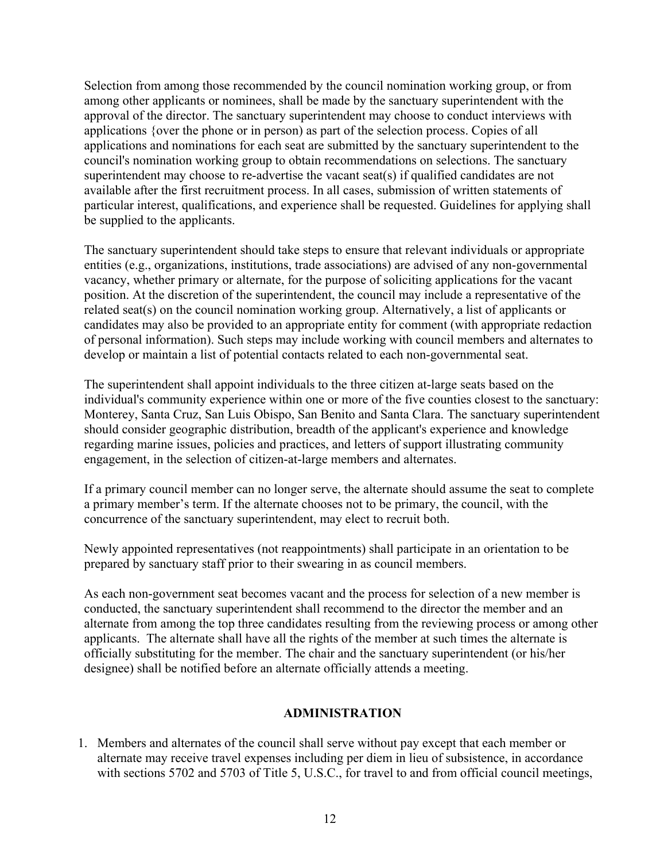Selection from among those recommended by the council nomination working group, or from among other applicants or nominees, shall be made by the sanctuary superintendent with the approval of the director. The sanctuary superintendent may choose to conduct interviews with applications {over the phone or in person) as part of the selection process. Copies of all applications and nominations for each seat are submitted by the sanctuary superintendent to the council's nomination working group to obtain recommendations on selections. The sanctuary superintendent may choose to re-advertise the vacant seat(s) if qualified candidates are not available after the first recruitment process. In all cases, submission of written statements of particular interest, qualifications, and experience shall be requested. Guidelines for applying shall be supplied to the applicants.

 The sanctuary superintendent should take steps to ensure that relevant individuals or appropriate vacancy, whether primary or alternate, for the purpose of soliciting applications for the vacant entities (e.g., organizations, institutions, trade associations) are advised of any non-governmental position. At the discretion of the superintendent, the council may include a representative of the related seat(s) on the council nomination working group. Alternatively, a list of applicants or candidates may also be provided to an appropriate entity for comment (with appropriate redaction of personal information). Such steps may include working with council members and alternates to develop or maintain a list of potential contacts related to each non-governmental seat.

 The superintendent shall appoint individuals to the three citizen at-large seats based on the individual's community experience within one or more of the five counties closest to the sanctuary: Monterey, Santa Cruz, San Luis Obispo, San Benito and Santa Clara. The sanctuary superintendent should consider geographic distribution, breadth of the applicant's experience and knowledge regarding marine issues, policies and practices, and letters of support illustrating community engagement, in the selection of citizen-at-large members and alternates.

If a primary council member can no longer serve, the alternate should assume the seat to complete a primary member's term. If the alternate chooses not to be primary, the council, with the concurrence of the sanctuary superintendent, may elect to recruit both.

 Newly appointed representatives (not reappointments) shall participate in an orientation to be prepared by sanctuary staff prior to their swearing in as council members.

 applicants. The alternate shall have all the rights of the member at such times the alternate is officially substituting for the member. The chair and the sanctuary superintendent (or his/her As each non-government seat becomes vacant and the process for selection of a new member is conducted, the sanctuary superintendent shall recommend to the director the member and an alternate from among the top three candidates resulting from the reviewing process or among other designee) shall be notified before an alternate officially attends a meeting.

## **ADMINISTRATION**

 1. Members and alternates of the council shall serve without pay except that each member or alternate may receive travel expenses including per diem in lieu of subsistence, in accordance with sections 5702 and 5703 of Title 5, U.S.C., for travel to and from official council meetings,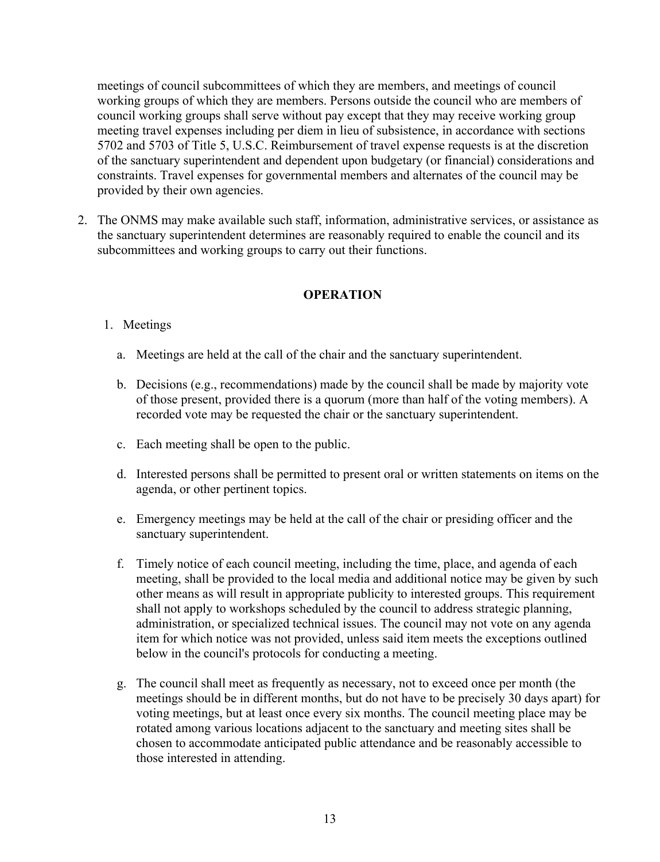meetings of council subcommittees of which they are members, and meetings of council council working groups shall serve without pay except that they may receive working group constraints. Travel expenses for governmental members and alternates of the council may be working groups of which they are members. Persons outside the council who are members of meeting travel expenses including per diem in lieu of subsistence, in accordance with sections 5702 and 5703 of Title 5, U.S.C. Reimbursement of travel expense requests is at the discretion of the sanctuary superintendent and dependent upon budgetary (or financial) considerations and provided by their own agencies.

 2. The ONMS may make available such staff, information, administrative services, or assistance as subcommittees and working groups to carry out their functions. the sanctuary superintendent determines are reasonably required to enable the council and its

#### **OPERATION**

#### 1. Meetings

- a. Meetings are held at the call of the chair and the sanctuary superintendent.
- b. Decisions (e.g., recommendations) made by the council shall be made by majority vote of those present, provided there is a quorum (more than half of the voting members). A recorded vote may be requested the chair or the sanctuary superintendent.
- c. Each meeting shall be open to the public.
- d. Interested persons shall be permitted to present oral or written statements on items on the agenda, or other pertinent topics.
- e. Emergency meetings may be held at the call of the chair or presiding officer and the sanctuary superintendent.
- below in the council's protocols for conducting a meeting. f. Timely notice of each council meeting, including the time, place, and agenda of each meeting, shall be provided to the local media and additional notice may be given by such other means as will result in appropriate publicity to interested groups. This requirement shall not apply to workshops scheduled by the council to address strategic planning, administration, or specialized technical issues. The council may not vote on any agenda item for which notice was not provided, unless said item meets the exceptions outlined
- g. The council shall meet as frequently as necessary, not to exceed once per month (the voting meetings, but at least once every six months. The council meeting place may be meetings should be in different months, but do not have to be precisely 30 days apart) for rotated among various locations adjacent to the sanctuary and meeting sites shall be chosen to accommodate anticipated public attendance and be reasonably accessible to those interested in attending.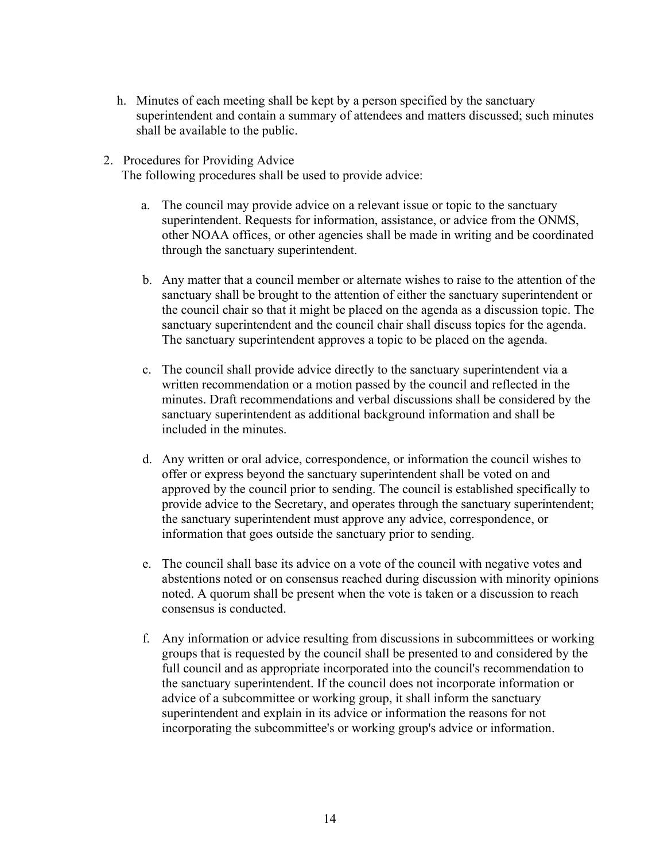- h. Minutes of each meeting shall be kept by a person specified by the sanctuary superintendent and contain a summary of attendees and matters discussed; such minutes shall be available to the public.
- 2. Procedures for Providing Advice

The following procedures shall be used to provide advice:

- a. The council may provide advice on a relevant issue or topic to the sanctuary superintendent. Requests for information, assistance, or advice from the ONMS, other NOAA offices, or other agencies shall be made in writing and be coordinated through the sanctuary superintendent.
- the council chair so that it might be placed on the agenda as a discussion topic. The b. Any matter that a council member or alternate wishes to raise to the attention of the sanctuary shall be brought to the attention of either the sanctuary superintendent or sanctuary superintendent and the council chair shall discuss topics for the agenda. The sanctuary superintendent approves a topic to be placed on the agenda.
- c. The council shall provide advice directly to the sanctuary superintendent via a written recommendation or a motion passed by the council and reflected in the minutes. Draft recommendations and verbal discussions shall be considered by the sanctuary superintendent as additional background information and shall be included in the minutes.
- approved by the council prior to sending. The council is established specifically to information that goes outside the sanctuary prior to sending. d. Any written or oral advice, correspondence, or information the council wishes to offer or express beyond the sanctuary superintendent shall be voted on and provide advice to the Secretary, and operates through the sanctuary superintendent; the sanctuary superintendent must approve any advice, correspondence, or
- noted. A quorum shall be present when the vote is taken or a discussion to reach e. The council shall base its advice on a vote of the council with negative votes and abstentions noted or on consensus reached during discussion with minority opinions consensus is conducted.
- f. Any information or advice resulting from discussions in subcommittees or working groups that is requested by the council shall be presented to and considered by the full council and as appropriate incorporated into the council's recommendation to the sanctuary superintendent. If the council does not incorporate information or advice of a subcommittee or working group, it shall inform the sanctuary superintendent and explain in its advice or information the reasons for not incorporating the subcommittee's or working group's advice or information.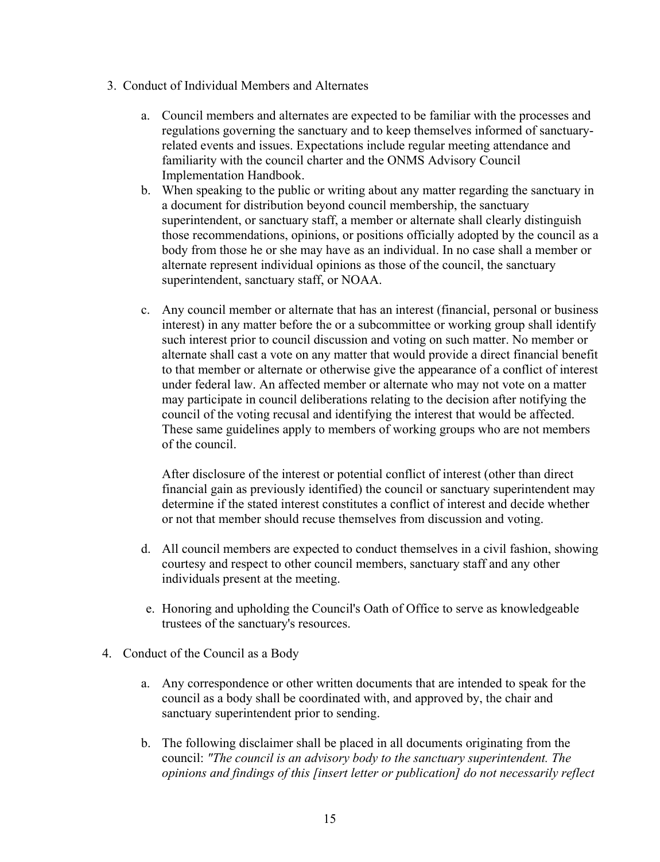- 3. Conduct of Individual Members and Alternates
	- a. Council members and alternates are expected to be familiar with the processes and regulations governing the sanctuary and to keep themselves informed of sanctuaryrelated events and issues. Expectations include regular meeting attendance and familiarity with the council charter and the ONMS Advisory Council Implementation Handbook.
	- b. When speaking to the public or writing about any matter regarding the sanctuary in a document for distribution beyond council membership, the sanctuary superintendent, or sanctuary staff, a member or alternate shall clearly distinguish those recommendations, opinions, or positions officially adopted by the council as a body from those he or she may have as an individual. In no case shall a member or alternate represent individual opinions as those of the council, the sanctuary superintendent, sanctuary staff, or NOAA.
	- c. Any council member or alternate that has an interest (financial, personal or business council of the voting recusal and identifying the interest that would be affected. These same guidelines apply to members of working groups who are not members interest) in any matter before the or a subcommittee or working group shall identify such interest prior to council discussion and voting on such matter. No member or alternate shall cast a vote on any matter that would provide a direct financial benefit to that member or alternate or otherwise give the appearance of a conflict of interest under federal law. An affected member or alternate who may not vote on a matter may participate in council deliberations relating to the decision after notifying the of the council.

 determine if the stated interest constitutes a conflict of interest and decide whether After disclosure of the interest or potential conflict of interest (other than direct financial gain as previously identified) the council or sanctuary superintendent may or not that member should recuse themselves from discussion and voting.

- d. All council members are expected to conduct themselves in a civil fashion, showing courtesy and respect to other council members, sanctuary staff and any other individuals present at the meeting.
- e. Honoring and upholding the Council's Oath of Office to serve as knowledgeable trustees of the sanctuary's resources.
- 4. Conduct of the Council as a Body
	- council as a body shall be coordinated with, and approved by, the chair and sanctuary superintendent prior to sending. a. Any correspondence or other written documents that are intended to speak for the
	- council: *"The council is an advisory body to the sanctuary superintendent. The*  b. The following disclaimer shall be placed in all documents originating from the *opinions and findings of this [insert letter or publication] do not necessarily reflect*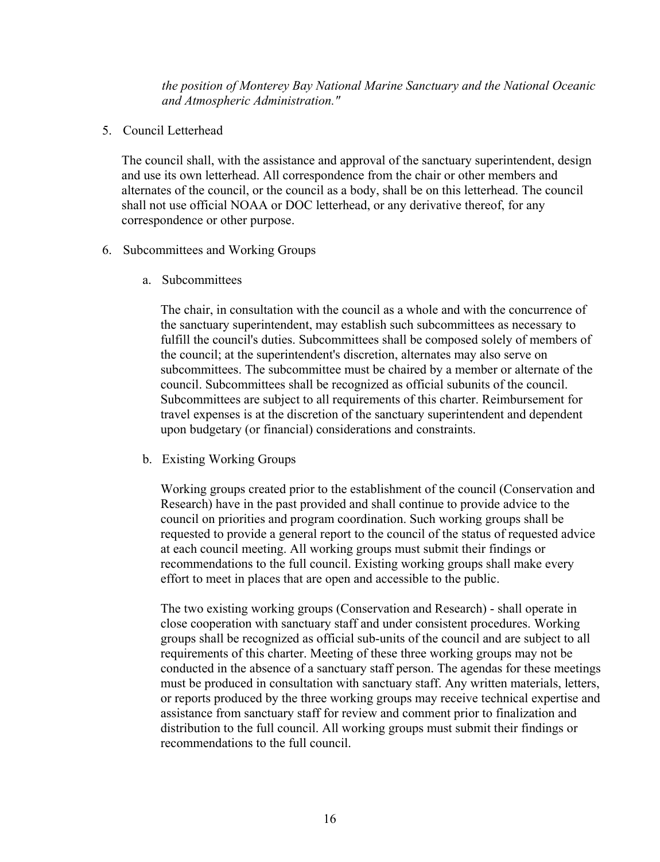*the position of Monterey Bay National Marine Sanctuary and the National Oceanic and Atmospheric Administration."* 

5. Council Letterhead

 correspondence or other purpose. The council shall, with the assistance and approval of the sanctuary superintendent, design and use its own letterhead. All correspondence from the chair or other members and alternates of the council, or the council as a body, shall be on this letterhead. The council shall not use official NOAA or DOC letterhead, or any derivative thereof, for any

- 6. Subcommittees and Working Groups
	- a. Subcommittees

The chair, in consultation with the council as a whole and with the concurrence of the sanctuary superintendent, may establish such subcommittees as necessary to fulfill the council's duties. Subcommittees shall be composed solely of members of the council; at the superintendent's discretion, alternates may also serve on subcommittees. The subcommittee must be chaired by a member or alternate of the council. Subcommittees shall be recognized as official subunits of the council. Subcommittees are subject to all requirements of this charter. Reimbursement for travel expenses is at the discretion of the sanctuary superintendent and dependent upon budgetary (or financial) considerations and constraints.

b. Existing Working Groups

 requested to provide a general report to the council of the status of requested advice Working groups created prior to the establishment of the council (Conservation and Research) have in the past provided and shall continue to provide advice to the council on priorities and program coordination. Such working groups shall be at each council meeting. All working groups must submit their findings or recommendations to the full council. Existing working groups shall make every effort to meet in places that are open and accessible to the public.

 The two existing working groups (Conservation and Research) - shall operate in close cooperation with sanctuary staff and under consistent procedures. Working groups shall be recognized as official sub-units of the council and are subject to all requirements of this charter. Meeting of these three working groups may not be conducted in the absence of a sanctuary staff person. The agendas for these meetings must be produced in consultation with sanctuary staff. Any written materials, letters, or reports produced by the three working groups may receive technical expertise and assistance from sanctuary staff for review and comment prior to finalization and distribution to the full council. All working groups must submit their findings or recommendations to the full council.